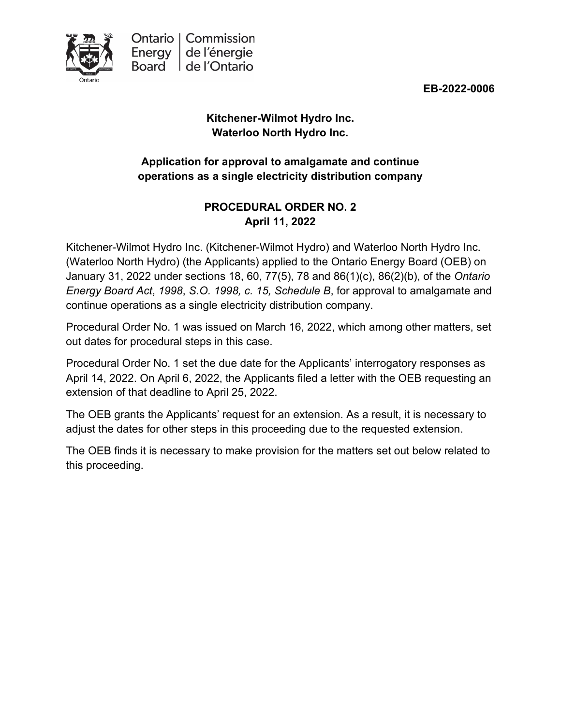

**EB-2022-0006**

# **Kitchener-Wilmot Hydro Inc. Waterloo North Hydro Inc.**

## **Application for approval to amalgamate and continue operations as a single electricity distribution company**

## **PROCEDURAL ORDER NO. 2 April 11, 2022**

Kitchener-Wilmot Hydro Inc. (Kitchener-Wilmot Hydro) and Waterloo North Hydro Inc. (Waterloo North Hydro) (the Applicants) applied to the Ontario Energy Board (OEB) on January 31, 2022 under sections 18, 60, 77(5), 78 and 86(1)(c), 86(2)(b), of the *Ontario Energy Board Act*, *1998*, *S.O. 1998, c. 15, Schedule B*, for approval to amalgamate and continue operations as a single electricity distribution company.

Procedural Order No. 1 was issued on March 16, 2022, which among other matters, set out dates for procedural steps in this case.

Procedural Order No. 1 set the due date for the Applicants' interrogatory responses as April 14, 2022. On April 6, 2022, the Applicants filed a letter with the OEB requesting an extension of that deadline to April 25, 2022.

The OEB grants the Applicants' request for an extension. As a result, it is necessary to adjust the dates for other steps in this proceeding due to the requested extension.

The OEB finds it is necessary to make provision for the matters set out below related to this proceeding.